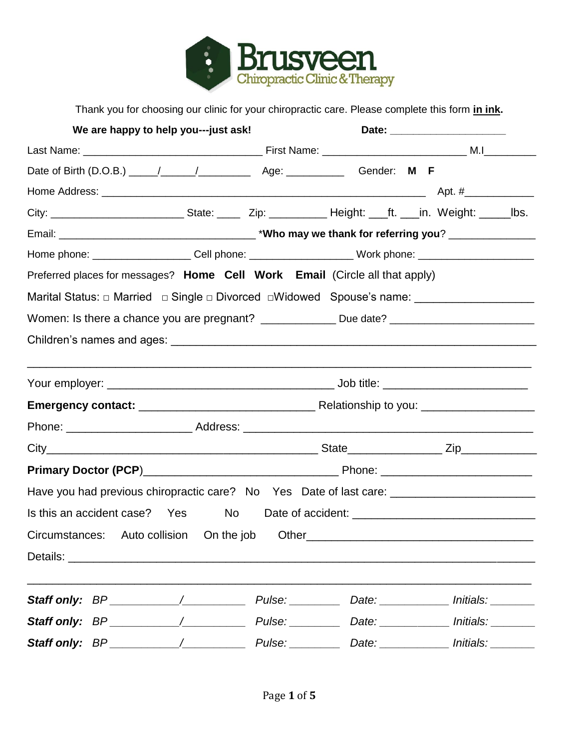

Thank you for choosing our clinic for your chiropractic care. Please complete this form **in ink.**

| We are happy to help you---just ask!                                                                 |                                                                                                               |  |  |  |  |  |
|------------------------------------------------------------------------------------------------------|---------------------------------------------------------------------------------------------------------------|--|--|--|--|--|
|                                                                                                      |                                                                                                               |  |  |  |  |  |
|                                                                                                      |                                                                                                               |  |  |  |  |  |
|                                                                                                      |                                                                                                               |  |  |  |  |  |
|                                                                                                      |                                                                                                               |  |  |  |  |  |
|                                                                                                      |                                                                                                               |  |  |  |  |  |
|                                                                                                      | Home phone: _____________________Cell phone: __________________________Work phone: __________________________ |  |  |  |  |  |
| Preferred places for messages? Home Cell Work Email (Circle all that apply)                          |                                                                                                               |  |  |  |  |  |
| Marital Status: □ Married □ Single □ Divorced □ Widowed Spouse's name: __________                    |                                                                                                               |  |  |  |  |  |
| Women: Is there a chance you are pregnant? _______________ Due date? _______________________________ |                                                                                                               |  |  |  |  |  |
|                                                                                                      |                                                                                                               |  |  |  |  |  |
|                                                                                                      |                                                                                                               |  |  |  |  |  |
|                                                                                                      |                                                                                                               |  |  |  |  |  |
|                                                                                                      |                                                                                                               |  |  |  |  |  |
|                                                                                                      |                                                                                                               |  |  |  |  |  |
|                                                                                                      |                                                                                                               |  |  |  |  |  |
|                                                                                                      |                                                                                                               |  |  |  |  |  |
| Have you had previous chiropractic care? No Yes Date of last care: _________________________________ |                                                                                                               |  |  |  |  |  |
| Is this an accident case? Yes No Date of accident: _____________________________                     |                                                                                                               |  |  |  |  |  |
| Circumstances: Auto collision On the job Other__________________________________                     |                                                                                                               |  |  |  |  |  |
|                                                                                                      |                                                                                                               |  |  |  |  |  |
|                                                                                                      |                                                                                                               |  |  |  |  |  |
| <b>Staff only:</b> BP ____________/ Pulse: _________ Date: __________ Initials: _______              |                                                                                                               |  |  |  |  |  |
|                                                                                                      |                                                                                                               |  |  |  |  |  |
|                                                                                                      |                                                                                                               |  |  |  |  |  |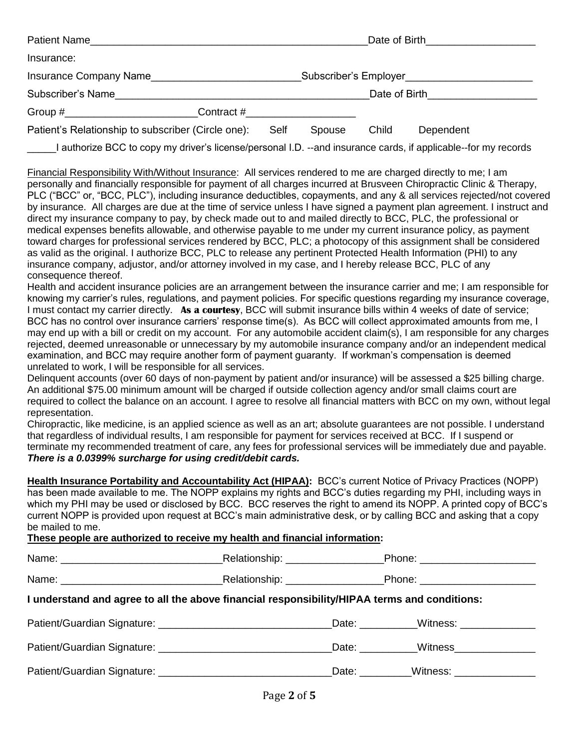|                                                                                                                                                                                                                                                                                                                                                                                                                                                                                                                                                                                                                                                                                                                                                                                                                                                                                                                                                                                                                                                                                                                                                                                                                                                                                                                                                                                                                                                                                        |                |       | Date of Birth <b>Exercise 2008</b> |
|----------------------------------------------------------------------------------------------------------------------------------------------------------------------------------------------------------------------------------------------------------------------------------------------------------------------------------------------------------------------------------------------------------------------------------------------------------------------------------------------------------------------------------------------------------------------------------------------------------------------------------------------------------------------------------------------------------------------------------------------------------------------------------------------------------------------------------------------------------------------------------------------------------------------------------------------------------------------------------------------------------------------------------------------------------------------------------------------------------------------------------------------------------------------------------------------------------------------------------------------------------------------------------------------------------------------------------------------------------------------------------------------------------------------------------------------------------------------------------------|----------------|-------|------------------------------------|
| Insurance:                                                                                                                                                                                                                                                                                                                                                                                                                                                                                                                                                                                                                                                                                                                                                                                                                                                                                                                                                                                                                                                                                                                                                                                                                                                                                                                                                                                                                                                                             |                |       |                                    |
|                                                                                                                                                                                                                                                                                                                                                                                                                                                                                                                                                                                                                                                                                                                                                                                                                                                                                                                                                                                                                                                                                                                                                                                                                                                                                                                                                                                                                                                                                        |                |       |                                    |
|                                                                                                                                                                                                                                                                                                                                                                                                                                                                                                                                                                                                                                                                                                                                                                                                                                                                                                                                                                                                                                                                                                                                                                                                                                                                                                                                                                                                                                                                                        |                |       | Date of Birth <b>Exercise 2008</b> |
| Group #________________________________Contract #_______________________________                                                                                                                                                                                                                                                                                                                                                                                                                                                                                                                                                                                                                                                                                                                                                                                                                                                                                                                                                                                                                                                                                                                                                                                                                                                                                                                                                                                                       |                |       |                                    |
| Patient's Relationship to subscriber (Circle one):                                                                                                                                                                                                                                                                                                                                                                                                                                                                                                                                                                                                                                                                                                                                                                                                                                                                                                                                                                                                                                                                                                                                                                                                                                                                                                                                                                                                                                     | Spouse<br>Self | Child | Dependent                          |
| I authorize BCC to copy my driver's license/personal I.D. --and insurance cards, if applicable--for my records                                                                                                                                                                                                                                                                                                                                                                                                                                                                                                                                                                                                                                                                                                                                                                                                                                                                                                                                                                                                                                                                                                                                                                                                                                                                                                                                                                         |                |       |                                    |
| personally and financially responsible for payment of all charges incurred at Brusveen Chiropractic Clinic & Therapy,<br>PLC ("BCC" or, "BCC, PLC"), including insurance deductibles, copayments, and any & all services rejected/not covered<br>by insurance. All charges are due at the time of service unless I have signed a payment plan agreement. I instruct and<br>direct my insurance company to pay, by check made out to and mailed directly to BCC, PLC, the professional or<br>medical expenses benefits allowable, and otherwise payable to me under my current insurance policy, as payment<br>toward charges for professional services rendered by BCC, PLC; a photocopy of this assignment shall be considered<br>as valid as the original. I authorize BCC, PLC to release any pertinent Protected Health Information (PHI) to any<br>insurance company, adjustor, and/or attorney involved in my case, and I hereby release BCC, PLC of any<br>consequence thereof.<br>Health and accident insurance policies are an arrangement between the insurance carrier and me; I am responsible for<br>knowing my carrier's rules, regulations, and payment policies. For specific questions regarding my insurance coverage,<br>I must contact my carrier directly. As a courtesy, BCC will submit insurance bills within 4 weeks of date of service;<br>BCC has no control over insurance carriers' response time(s). As BCC will collect approximated amounts from me, I |                |       |                                    |
| may end up with a bill or credit on my account. For any automobile accident claim(s), I am responsible for any charges<br>rejected, deemed unreasonable or unnecessary by my automobile insurance company and/or an independent medical<br>examination, and BCC may require another form of payment guaranty. If workman's compensation is deemed<br>unrelated to work, I will be responsible for all services.                                                                                                                                                                                                                                                                                                                                                                                                                                                                                                                                                                                                                                                                                                                                                                                                                                                                                                                                                                                                                                                                        |                |       |                                    |
| Delinquent accounts (over 60 days of non-payment by patient and/or insurance) will be assessed a \$25 billing charge.<br>An additional \$75.00 minimum amount will be charged if outside collection agency and/or small claims court are<br>required to collect the balance on an account. I agree to resolve all financial matters with BCC on my own, without legal<br>representation.                                                                                                                                                                                                                                                                                                                                                                                                                                                                                                                                                                                                                                                                                                                                                                                                                                                                                                                                                                                                                                                                                               |                |       |                                    |

Chiropractic, like medicine, is an applied science as well as an art; absolute guarantees are not possible. I understand that regardless of individual results, I am responsible for payment for services received at BCC. If I suspend or terminate my recommended treatment of care, any fees for professional services will be immediately due and payable. *There is a 0.0399% surcharge for using credit/debit cards.*

**Health Insurance Portability and Accountability Act (HIPAA):** BCC's current Notice of Privacy Practices (NOPP) has been made available to me. The NOPP explains my rights and BCC's duties regarding my PHI, including ways in which my PHI may be used or disclosed by BCC. BCC reserves the right to amend its NOPP. A printed copy of BCC's current NOPP is provided upon request at BCC's main administrative desk, or by calling BCC and asking that a copy be mailed to me.

## **These people are authorized to receive my health and financial information:**

|                                                                                              |                                    | Phone: ________________________           |  |  |  |
|----------------------------------------------------------------------------------------------|------------------------------------|-------------------------------------------|--|--|--|
|                                                                                              | Relationship: ____________________ | Phone: ________________________           |  |  |  |
| I understand and agree to all the above financial responsibility/HIPAA terms and conditions: |                                    |                                           |  |  |  |
|                                                                                              |                                    |                                           |  |  |  |
|                                                                                              |                                    | Date: Witness Multiple Multiple State:    |  |  |  |
|                                                                                              |                                    | _Date: __________Witness: _______________ |  |  |  |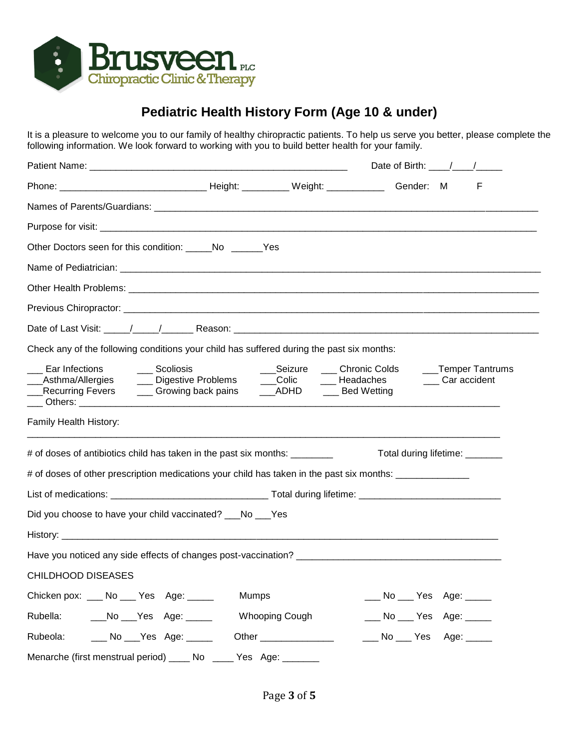

## **Pediatric Health History Form (Age 10 & under)**

It is a pleasure to welcome you to our family of healthy chiropractic patients. To help us serve you better, please complete the following information. We look forward to working with you to build better health for your family.

|                                                                                                                                                                                                                                                                                                                                               |               |                                                    | Date of Birth: $\frac{1}{\sqrt{1-\frac{1}{2}}}\frac{1}{\sqrt{1-\frac{1}{2}}}}$ |                               |  |
|-----------------------------------------------------------------------------------------------------------------------------------------------------------------------------------------------------------------------------------------------------------------------------------------------------------------------------------------------|---------------|----------------------------------------------------|--------------------------------------------------------------------------------|-------------------------------|--|
|                                                                                                                                                                                                                                                                                                                                               |               |                                                    |                                                                                | F                             |  |
|                                                                                                                                                                                                                                                                                                                                               |               |                                                    |                                                                                |                               |  |
|                                                                                                                                                                                                                                                                                                                                               |               |                                                    |                                                                                |                               |  |
| Other Doctors seen for this condition: No No Nes                                                                                                                                                                                                                                                                                              |               |                                                    |                                                                                |                               |  |
|                                                                                                                                                                                                                                                                                                                                               |               |                                                    |                                                                                |                               |  |
|                                                                                                                                                                                                                                                                                                                                               |               |                                                    |                                                                                |                               |  |
|                                                                                                                                                                                                                                                                                                                                               |               |                                                    |                                                                                |                               |  |
|                                                                                                                                                                                                                                                                                                                                               |               |                                                    |                                                                                |                               |  |
| Check any of the following conditions your child has suffered during the past six months:                                                                                                                                                                                                                                                     |               |                                                    |                                                                                |                               |  |
| Ear Infections<br>Recurring Fevers <u>Theory of Crowing back pains</u> Theory ADHD Theory Bed Wetting<br><u>Department of the contract of the contract of the contract of the contract of the contract of the contract of the contract of the contract of the contract of the contract of the contract of the contract of the contract of</u> | ___ Scoliosis | ___Seizure ____ Chronic Colds _____Temper Tantrums |                                                                                | ____ Car accident             |  |
| Family Health History:                                                                                                                                                                                                                                                                                                                        |               |                                                    |                                                                                |                               |  |
| # of doses of antibiotics child has taken in the past six months: ________                                                                                                                                                                                                                                                                    |               |                                                    |                                                                                | Total during lifetime: ______ |  |
| # of doses of other prescription medications your child has taken in the past six months: _______________                                                                                                                                                                                                                                     |               |                                                    |                                                                                |                               |  |
|                                                                                                                                                                                                                                                                                                                                               |               |                                                    |                                                                                |                               |  |
| Did you choose to have your child vaccinated? ___No ___Yes                                                                                                                                                                                                                                                                                    |               |                                                    |                                                                                |                               |  |
|                                                                                                                                                                                                                                                                                                                                               |               |                                                    |                                                                                |                               |  |
|                                                                                                                                                                                                                                                                                                                                               |               |                                                    |                                                                                |                               |  |
| <b>CHILDHOOD DISEASES</b>                                                                                                                                                                                                                                                                                                                     |               |                                                    |                                                                                |                               |  |
| Chicken pox: ___ No ___ Yes Age: ____                                                                                                                                                                                                                                                                                                         | <b>Mumps</b>  |                                                    | ___ No ___ Yes Age: _____                                                      |                               |  |
| Rubella:<br>___No ___Yes Age: _____                                                                                                                                                                                                                                                                                                           |               | Whooping Cough                                     | ___ No ___ Yes Age: _____                                                      |                               |  |
| ___ No ___ Yes Age: _____<br>Rubeola:                                                                                                                                                                                                                                                                                                         |               |                                                    | ___ No ___ Yes Age: ____                                                       |                               |  |
| Menarche (first menstrual period) _____ No                                                                                                                                                                                                                                                                                                    |               |                                                    |                                                                                |                               |  |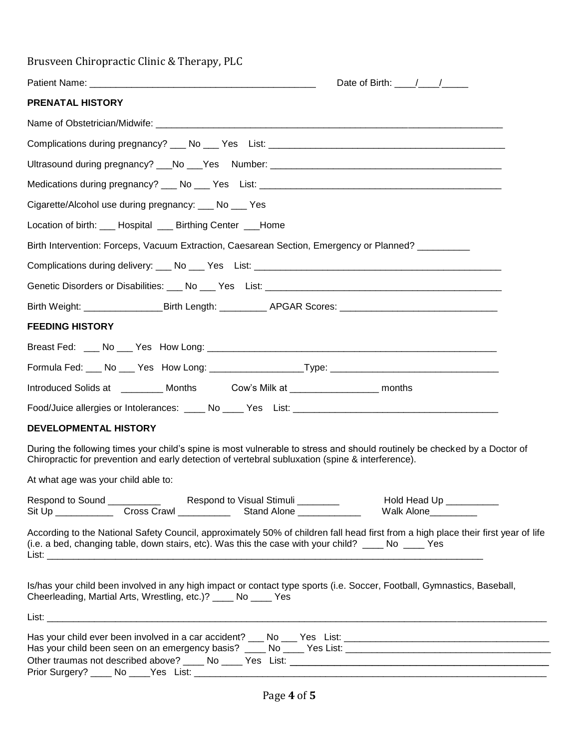| Brusveen Chiropractic Clinic & Therapy, PLC                                                                                                                                                                                                 |
|---------------------------------------------------------------------------------------------------------------------------------------------------------------------------------------------------------------------------------------------|
| Date of Birth: $\frac{1}{2}$                                                                                                                                                                                                                |
| <b>PRENATAL HISTORY</b>                                                                                                                                                                                                                     |
|                                                                                                                                                                                                                                             |
|                                                                                                                                                                                                                                             |
|                                                                                                                                                                                                                                             |
|                                                                                                                                                                                                                                             |
| Cigarette/Alcohol use during pregnancy: ___ No ___ Yes                                                                                                                                                                                      |
| Location of birth: ___ Hospital ___ Birthing Center ___Home                                                                                                                                                                                 |
| Birth Intervention: Forceps, Vacuum Extraction, Caesarean Section, Emergency or Planned? _________                                                                                                                                          |
|                                                                                                                                                                                                                                             |
|                                                                                                                                                                                                                                             |
| Birth Weight: ____________________Birth Length: _____________APGAR Scores: ___________________________________                                                                                                                              |
| <b>FEEDING HISTORY</b>                                                                                                                                                                                                                      |
|                                                                                                                                                                                                                                             |
| Formula Fed: ___ No ___ Yes How Long: ____________________Type: ___________________________________                                                                                                                                         |
| Introduced Solids at _________ Months Cow's Milk at ________________ months                                                                                                                                                                 |
|                                                                                                                                                                                                                                             |
| <b>DEVELOPMENTAL HISTORY</b>                                                                                                                                                                                                                |
| During the following times your child's spine is most vulnerable to stress and should routinely be checked by a Doctor of<br>Chiropractic for prevention and early detection of vertebral subluxation (spine & interference).               |
| At what age was your child able to:                                                                                                                                                                                                         |
| Hold Head Up __________<br>Walk Alone_________                                                                                                                                                                                              |
| According to the National Safety Council, approximately 50% of children fall head first from a high place their first year of life<br>(i.e. a bed, changing table, down stairs, etc). Was this the case with your child? _____ No _____ Yes |
| Is/has your child been involved in any high impact or contact type sports (i.e. Soccer, Football, Gymnastics, Baseball,<br>Cheerleading, Martial Arts, Wrestling, etc.)? ____ No ____ Yes                                                   |
|                                                                                                                                                                                                                                             |
|                                                                                                                                                                                                                                             |